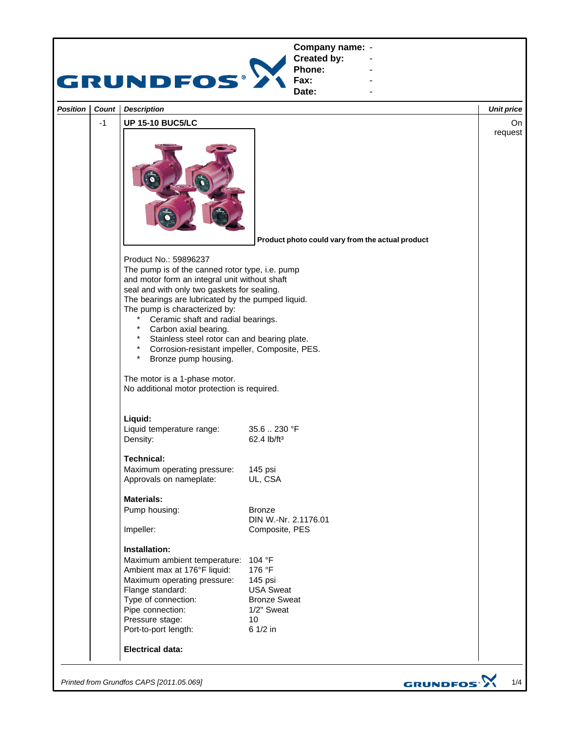

*Printed from Grundfos CAPS [2011.05.069]*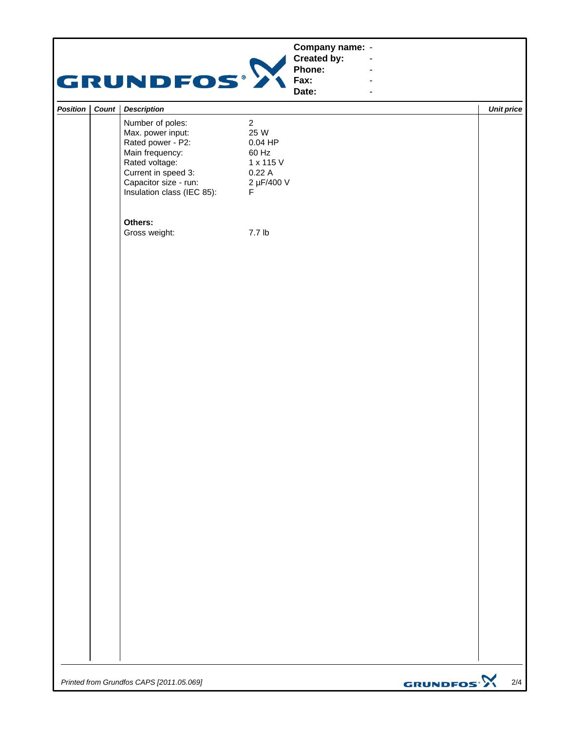|                  | <b>GRUNDFOS®</b>                                                                                                                                                              |                                                                                       | Company name: -<br><b>Created by:</b><br>Phone:<br>Fax:<br>Date: | $\overline{\phantom{a}}$<br>$\blacksquare$ |                              |
|------------------|-------------------------------------------------------------------------------------------------------------------------------------------------------------------------------|---------------------------------------------------------------------------------------|------------------------------------------------------------------|--------------------------------------------|------------------------------|
| Position   Count | <b>Description</b>                                                                                                                                                            |                                                                                       |                                                                  |                                            | <b>Unit price</b>            |
|                  | Number of poles:<br>Max. power input:<br>Rated power - P2:<br>Main frequency:<br>Rated voltage:<br>Current in speed 3:<br>Capacitor size - run:<br>Insulation class (IEC 85): | $\overline{2}$<br>25 W<br>$0.04$ HP<br>60 Hz<br>1 x 115 V<br>0.22A<br>2 µF/400 V<br>F |                                                                  |                                            |                              |
|                  | Others:<br>Gross weight:                                                                                                                                                      | 7.7 lb                                                                                |                                                                  |                                            |                              |
|                  |                                                                                                                                                                               |                                                                                       |                                                                  |                                            |                              |
|                  |                                                                                                                                                                               |                                                                                       |                                                                  |                                            |                              |
|                  | Printed from Grundfos CAPS [2011.05.069]                                                                                                                                      |                                                                                       |                                                                  |                                            | GRUNDFOS <sup>.</sup><br>2/4 |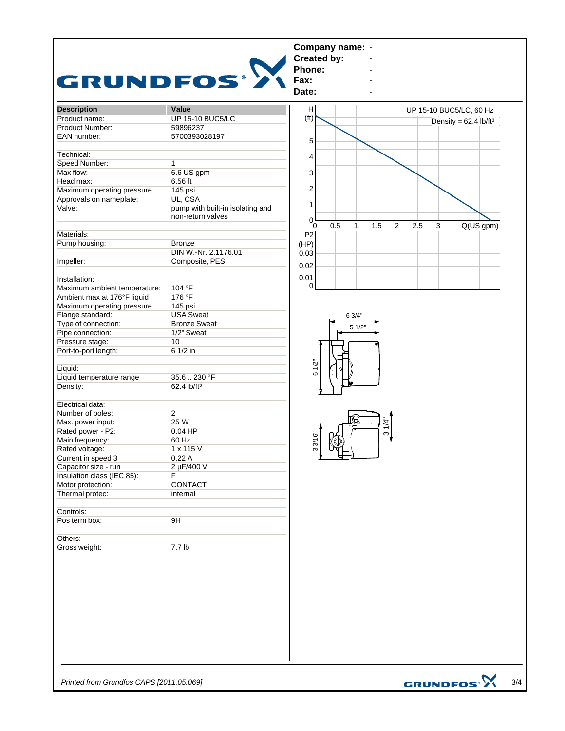|                              |                                  | <b>Created by:</b> | Company name: - |                               |     |                         |                                     |
|------------------------------|----------------------------------|--------------------|-----------------|-------------------------------|-----|-------------------------|-------------------------------------|
|                              |                                  | Phone:             |                 |                               |     |                         |                                     |
| <b>GRUNDFOS®</b>             |                                  | Fax:<br>Date:      |                 |                               |     |                         |                                     |
| <b>Description</b>           | Value                            | н                  |                 |                               |     | UP 15-10 BUC5/LC, 60 Hz |                                     |
| Product name:                | <b>UP 15-10 BUC5/LC</b>          | (f <sup>t</sup> )  |                 |                               |     |                         | Density = $62.4$ lb/ft <sup>3</sup> |
| Product Number:              | 59896237                         |                    |                 |                               |     |                         |                                     |
| EAN number:                  | 5700393028197                    | 5                  |                 |                               |     |                         |                                     |
| Technical:                   |                                  |                    |                 |                               |     |                         |                                     |
| Speed Number:                | $\mathbf 1$                      | 4                  |                 |                               |     |                         |                                     |
| Max flow:                    | 6.6 US gpm                       | 3                  |                 |                               |     |                         |                                     |
| Head max:                    | 6.56 ft                          |                    |                 |                               |     |                         |                                     |
| Maximum operating pressure   | 145 psi                          | 2                  |                 |                               |     |                         |                                     |
| Approvals on nameplate:      | UL, CSA                          |                    |                 |                               |     |                         |                                     |
| Valve:                       | pump with built-in isolating and | 1                  |                 |                               |     |                         |                                     |
|                              | non-return valves                |                    |                 |                               |     |                         |                                     |
|                              |                                  | 0<br>0.5<br>0      | $\mathbf{1}$    | 1.5<br>2                      | 2.5 | 3                       | Q(US gpm)                           |
| Materials:                   |                                  | P2                 |                 |                               |     |                         |                                     |
| Pump housing:                | <b>Bronze</b>                    | (HP)               |                 |                               |     |                         |                                     |
|                              | DIN W.-Nr. 2.1176.01             | 0.03               |                 |                               |     |                         |                                     |
| Impeller:                    | Composite, PES                   |                    |                 |                               |     |                         |                                     |
|                              |                                  | 0.02               |                 |                               |     |                         |                                     |
|                              |                                  | 0.01               |                 |                               |     |                         |                                     |
| Installation:                |                                  | $\Omega$           |                 |                               |     |                         |                                     |
| Maximum ambient temperature: | 104 °F                           |                    |                 |                               |     |                         |                                     |
| Ambient max at 176°F liquid  | 176 °F                           |                    |                 |                               |     |                         |                                     |
| Maximum operating pressure   | 145 psi                          |                    |                 |                               |     |                         |                                     |
| Flange standard:             | <b>USA Sweat</b>                 |                    | 6 3/4"          |                               |     |                         |                                     |
| Type of connection:          | <b>Bronze Sweat</b>              |                    | 51/2"           |                               |     |                         |                                     |
| Pipe connection:             | 1/2" Sweat                       |                    |                 |                               |     |                         |                                     |
| Pressure stage:              | 10                               |                    |                 |                               |     |                         |                                     |
| Port-to-port length:         | 6 1/2 in                         |                    |                 |                               |     |                         |                                     |
|                              |                                  |                    |                 |                               |     |                         |                                     |
| Liquid:                      |                                  | 6 1/2"             |                 |                               |     |                         |                                     |
| Liquid temperature range     | 35.6.230 °F                      |                    |                 |                               |     |                         |                                     |
| Density:                     | 62.4 lb/ft <sup>3</sup>          |                    |                 |                               |     |                         |                                     |
|                              |                                  |                    |                 |                               |     |                         |                                     |
| Electrical data:             |                                  |                    |                 |                               |     |                         |                                     |
| Number of poles:             | $\overline{2}$                   |                    |                 |                               |     |                         |                                     |
| Max. power input:            | 25 W                             |                    |                 |                               |     |                         |                                     |
| Rated power - P2:            | $0.04$ HP                        |                    |                 | $=$ $\frac{3 \frac{1}{4}}{4}$ |     |                         |                                     |
| Main frequency:              | 60 Hz                            | 33/16"             |                 |                               |     |                         |                                     |
| Rated voltage:               | 1 x 115 V                        |                    |                 |                               |     |                         |                                     |
| Current in speed 3           | 0.22A                            |                    | ىلە             |                               |     |                         |                                     |
| Capacitor size - run         | 2 µF/400 V                       |                    |                 |                               |     |                         |                                     |
|                              | F.                               |                    |                 |                               |     |                         |                                     |
| Insulation class (IEC 85):   |                                  |                    |                 |                               |     |                         |                                     |
| Motor protection:            | CONTACT                          |                    |                 |                               |     |                         |                                     |
| Thermal protec:              | internal                         |                    |                 |                               |     |                         |                                     |
|                              |                                  |                    |                 |                               |     |                         |                                     |
|                              |                                  |                    |                 |                               |     |                         |                                     |
|                              |                                  |                    |                 |                               |     |                         |                                     |
| Controls:<br>Pos term box:   | 9H                               |                    |                 |                               |     |                         |                                     |
|                              |                                  |                    |                 |                               |     |                         |                                     |
| Others:<br>Gross weight:     | 7.7 lb                           |                    |                 |                               |     |                         |                                     |